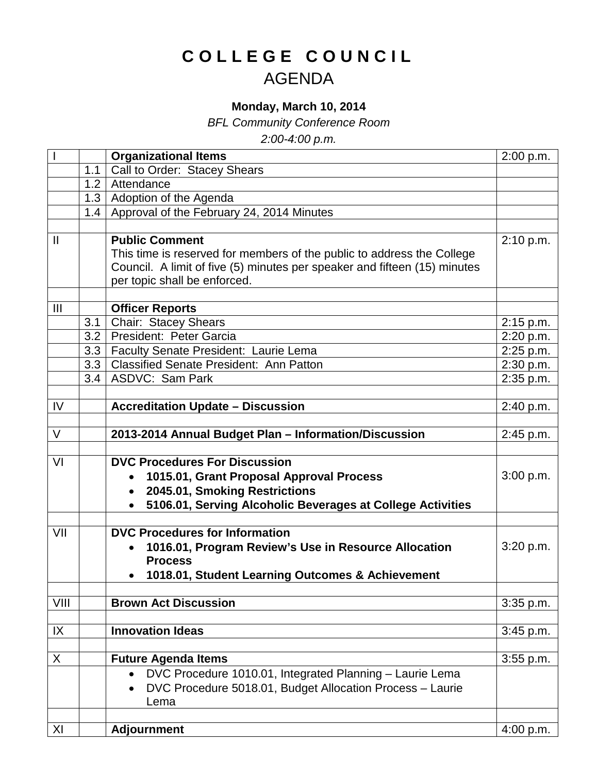## **COLLEGE COUNCIL** AGENDA

## **Monday, March 10, 2014**

*BFL Community Conference Room*

*2:00-4:00 p.m.*

|                |     | <b>Organizational Items</b>                                               | 2:00 p.m.   |
|----------------|-----|---------------------------------------------------------------------------|-------------|
|                | 1.1 | Call to Order: Stacey Shears                                              |             |
|                |     | 1.2 Attendance                                                            |             |
|                |     | 1.3   Adoption of the Agenda                                              |             |
|                |     | 1.4   Approval of the February 24, 2014 Minutes                           |             |
|                |     |                                                                           |             |
| $\mathbf{H}$   |     | <b>Public Comment</b>                                                     | 2:10 p.m.   |
|                |     | This time is reserved for members of the public to address the College    |             |
|                |     | Council. A limit of five (5) minutes per speaker and fifteen (15) minutes |             |
|                |     | per topic shall be enforced.                                              |             |
|                |     |                                                                           |             |
| $\mathbf{III}$ |     | <b>Officer Reports</b>                                                    |             |
|                | 3.1 | Chair: Stacey Shears                                                      | 2:15 p.m.   |
|                | 3.2 | President: Peter Garcia                                                   | 2:20 p.m.   |
|                |     | 3.3   Faculty Senate President: Laurie Lema                               | $2:25$ p.m. |
|                |     | 3.3   Classified Senate President: Ann Patton                             | 2:30 p.m.   |
|                |     | 3.4   ASDVC: Sam Park                                                     | 2:35 p.m.   |
|                |     |                                                                           |             |
| IV             |     | <b>Accreditation Update - Discussion</b>                                  | 2:40 p.m.   |
|                |     |                                                                           |             |
| $\vee$         |     | 2013-2014 Annual Budget Plan - Information/Discussion                     | 2:45 p.m.   |
|                |     |                                                                           |             |
| VI             |     | <b>DVC Procedures For Discussion</b>                                      |             |
|                |     | 1015.01, Grant Proposal Approval Process                                  | 3:00 p.m.   |
|                |     | 2045.01, Smoking Restrictions<br>$\bullet$                                |             |
|                |     | 5106.01, Serving Alcoholic Beverages at College Activities                |             |
| VII            |     | <b>DVC Procedures for Information</b>                                     |             |
|                |     | 1016.01, Program Review's Use in Resource Allocation                      | 3:20 p.m.   |
|                |     | <b>Process</b>                                                            |             |
|                |     | 1018.01, Student Learning Outcomes & Achievement                          |             |
|                |     |                                                                           |             |
| VIII           |     | <b>Brown Act Discussion</b>                                               | 3:35 p.m.   |
|                |     |                                                                           |             |
| IX             |     | <b>Innovation Ideas</b>                                                   | 3:45 p.m.   |
|                |     |                                                                           |             |
| X              |     | <b>Future Agenda Items</b>                                                | 3:55 p.m.   |
|                |     | DVC Procedure 1010.01, Integrated Planning - Laurie Lema<br>$\bullet$     |             |
|                |     | DVC Procedure 5018.01, Budget Allocation Process - Laurie                 |             |
|                |     | Lema                                                                      |             |
|                |     |                                                                           |             |
| XI             |     | <b>Adjournment</b>                                                        | 4:00 p.m.   |